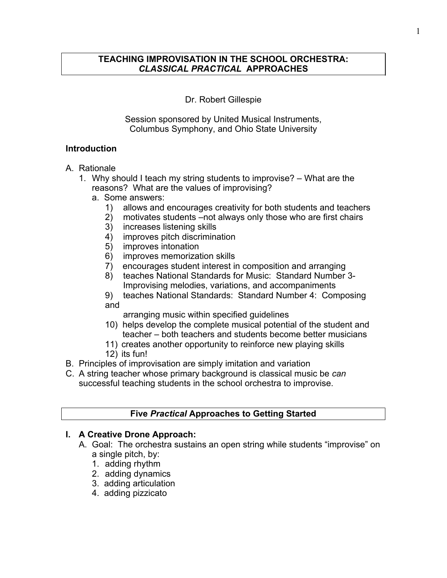### Dr. Robert Gillespie

Session sponsored by United Musical Instruments, Columbus Symphony, and Ohio State University

### **Introduction**

### A. Rationale

- 1. Why should I teach my string students to improvise? What are the reasons? What are the values of improvising?
	- a. Some answers:
		- 1) allows and encourages creativity for both students and teachers
		- 2) motivates students –not always only those who are first chairs
		- increases listening skills
		- 4) improves pitch discrimination
		- 5) improves intonation
		- 6) improves memorization skills
		- 7) encourages student interest in composition and arranging
		- 8) teaches National Standards for Music: Standard Number 3- Improvising melodies, variations, and accompaniments
		- 9) teaches National Standards: Standard Number 4: Composing and

arranging music within specified guidelines

- 10) helps develop the complete musical potential of the student and teacher – both teachers and students become better musicians
- 11) creates another opportunity to reinforce new playing skills
- 12) its fun!
- B. Principles of improvisation are simply imitation and variation
- C. A string teacher whose primary background is classical music be *can* successful teaching students in the school orchestra to improvise.

# **Five** *Practical* **Approaches to Getting Started**

## **I. A Creative Drone Approach:**

- A. Goal: The orchestra sustains an open string while students "improvise" on a single pitch, by:
	- 1. adding rhythm
	- 2. adding dynamics
	- 3. adding articulation
	- 4. adding pizzicato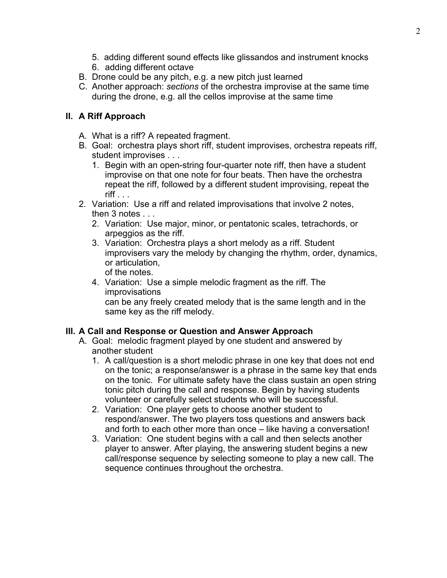- 5. adding different sound effects like glissandos and instrument knocks
- 6. adding different octave
- B. Drone could be any pitch, e.g. a new pitch just learned
- C. Another approach: *sections* of the orchestra improvise at the same time during the drone, e.g. all the cellos improvise at the same time

# **II. A Riff Approach**

- A. What is a riff? A repeated fragment.
- B. Goal: orchestra plays short riff, student improvises, orchestra repeats riff, student improvises . . .
	- 1. Begin with an open-string four-quarter note riff, then have a student improvise on that one note for four beats. Then have the orchestra repeat the riff, followed by a different student improvising, repeat the  $\mathsf{riff}$  . . .
- 2. Variation: Use a riff and related improvisations that involve 2 notes, then 3 notes . . .
	- 2. Variation: Use major, minor, or pentatonic scales, tetrachords, or arpeggios as the riff.
	- 3. Variation: Orchestra plays a short melody as a riff. Student improvisers vary the melody by changing the rhythm, order, dynamics, or articulation, of the notes.
	- 4. Variation: Use a simple melodic fragment as the riff. The improvisations can be any freely created melody that is the same length and in the same key as the riff melody.

# **III. A Call and Response or Question and Answer Approach**

- A. Goal: melodic fragment played by one student and answered by another student
	- 1. A call/question is a short melodic phrase in one key that does not end on the tonic; a response/answer is a phrase in the same key that ends on the tonic. For ultimate safety have the class sustain an open string tonic pitch during the call and response. Begin by having students volunteer or carefully select students who will be successful.
	- 2. Variation: One player gets to choose another student to respond/answer. The two players toss questions and answers back and forth to each other more than once – like having a conversation!
	- 3. Variation: One student begins with a call and then selects another player to answer. After playing, the answering student begins a new call/response sequence by selecting someone to play a new call. The sequence continues throughout the orchestra.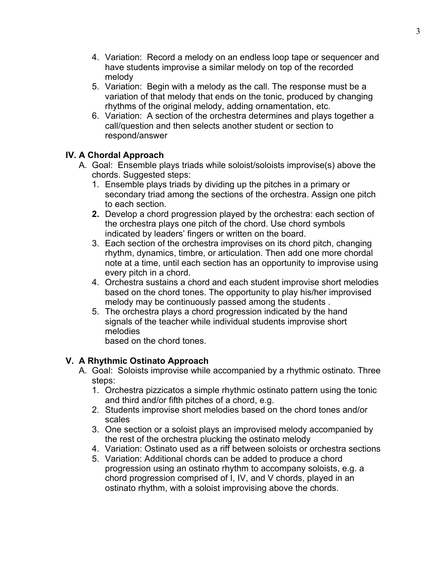- 4. Variation: Record a melody on an endless loop tape or sequencer and have students improvise a similar melody on top of the recorded melody
- 5. Variation: Begin with a melody as the call. The response must be a variation of that melody that ends on the tonic, produced by changing rhythms of the original melody, adding ornamentation, etc.
- 6. Variation: A section of the orchestra determines and plays together a call/question and then selects another student or section to respond/answer

## **IV. A Chordal Approach**

- A. Goal: Ensemble plays triads while soloist/soloists improvise(s) above the chords. Suggested steps:
	- 1. Ensemble plays triads by dividing up the pitches in a primary or secondary triad among the sections of the orchestra. Assign one pitch to each section.
	- **2.** Develop a chord progression played by the orchestra: each section of the orchestra plays one pitch of the chord. Use chord symbols indicated by leaders' fingers or written on the board.
	- 3. Each section of the orchestra improvises on its chord pitch, changing rhythm, dynamics, timbre, or articulation. Then add one more chordal note at a time, until each section has an opportunity to improvise using every pitch in a chord.
	- 4. Orchestra sustains a chord and each student improvise short melodies based on the chord tones. The opportunity to play his/her improvised melody may be continuously passed among the students .
	- 5. The orchestra plays a chord progression indicated by the hand signals of the teacher while individual students improvise short melodies

based on the chord tones.

## **V. A Rhythmic Ostinato Approach**

- A. Goal: Soloists improvise while accompanied by a rhythmic ostinato. Three steps:
	- 1. Orchestra pizzicatos a simple rhythmic ostinato pattern using the tonic and third and/or fifth pitches of a chord, e.g.
	- 2. Students improvise short melodies based on the chord tones and/or scales
	- 3. One section or a soloist plays an improvised melody accompanied by the rest of the orchestra plucking the ostinato melody
	- 4. Variation: Ostinato used as a riff between soloists or orchestra sections
	- 5. Variation: Additional chords can be added to produce a chord progression using an ostinato rhythm to accompany soloists, e.g. a chord progression comprised of I, IV, and V chords, played in an ostinato rhythm, with a soloist improvising above the chords.